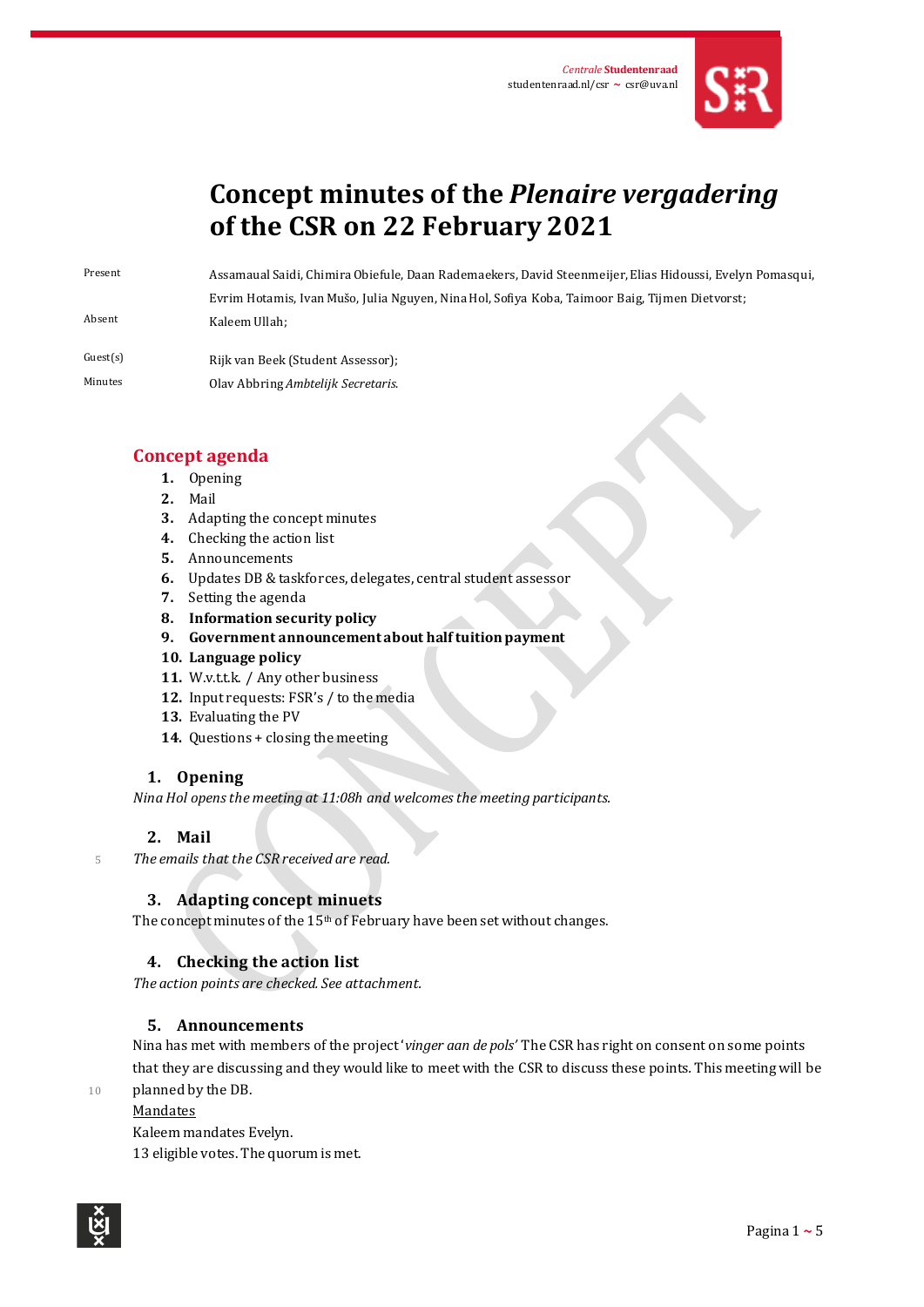

# **Concept minutes of the** *Plenaire vergadering* **of the CSR on 22 February 2021**

Present Assamaual Saidi, Chimira Obiefule, Daan Rademaekers, David Steenmeijer, Elias Hidoussi, Evelyn Pomasqui, Evrim Hotamis, Ivan Mušo, Julia Nguyen, Nina Hol, Sofiya Koba, Taimoor Baig, Tijmen Dietvorst; Absent Kaleem Ullah;

- Guest(s) Rijk van Beek (Student Assessor);
- Minutes Olav Abbring *Ambtelijk Secretaris*.

# **Concept agenda**

- **1.** Opening
- **2.** Mail
- **3.** Adapting the concept minutes
- **4.** Checking the action list
- **5.** Announcements
- **6.** Updates DB & taskforces, delegates, central student assessor
- **7.** Setting the agenda
- **8. Information security policy**
- **9. Government announcement about halftuitionpayment**
- **10. Language policy**
- 11. W.v.t.t.k. / Any other business
- **12.** Input requests: FSR's / to the media
- **13.** Evaluating the PV
- **14.** Questions + closing the meeting

# **1. Opening**

*Nina Hol opens the meeting at 11:08h and welcomes the meeting participants.* 

# **2. Mail**

<sup>5</sup> *The emails that the CSR received are read.*

# **3. Adapting concept minuets**

The concept minutes of the 15<sup>th</sup> of February have been set without changes.

# **4. Checking the action list**

*The action points are checked. See attachment.*

# **5. Announcements**

Nina has met with members of the project '*vinger aan de pols'* The CSR has right on consent on some points that they are discussing and they would like to meet with the CSR to discuss these points*.* This meeting will be 10 planned by the DB.

## **Mandates**

Kaleem mandates Evelyn.

13 eligible votes. The quorum is met.

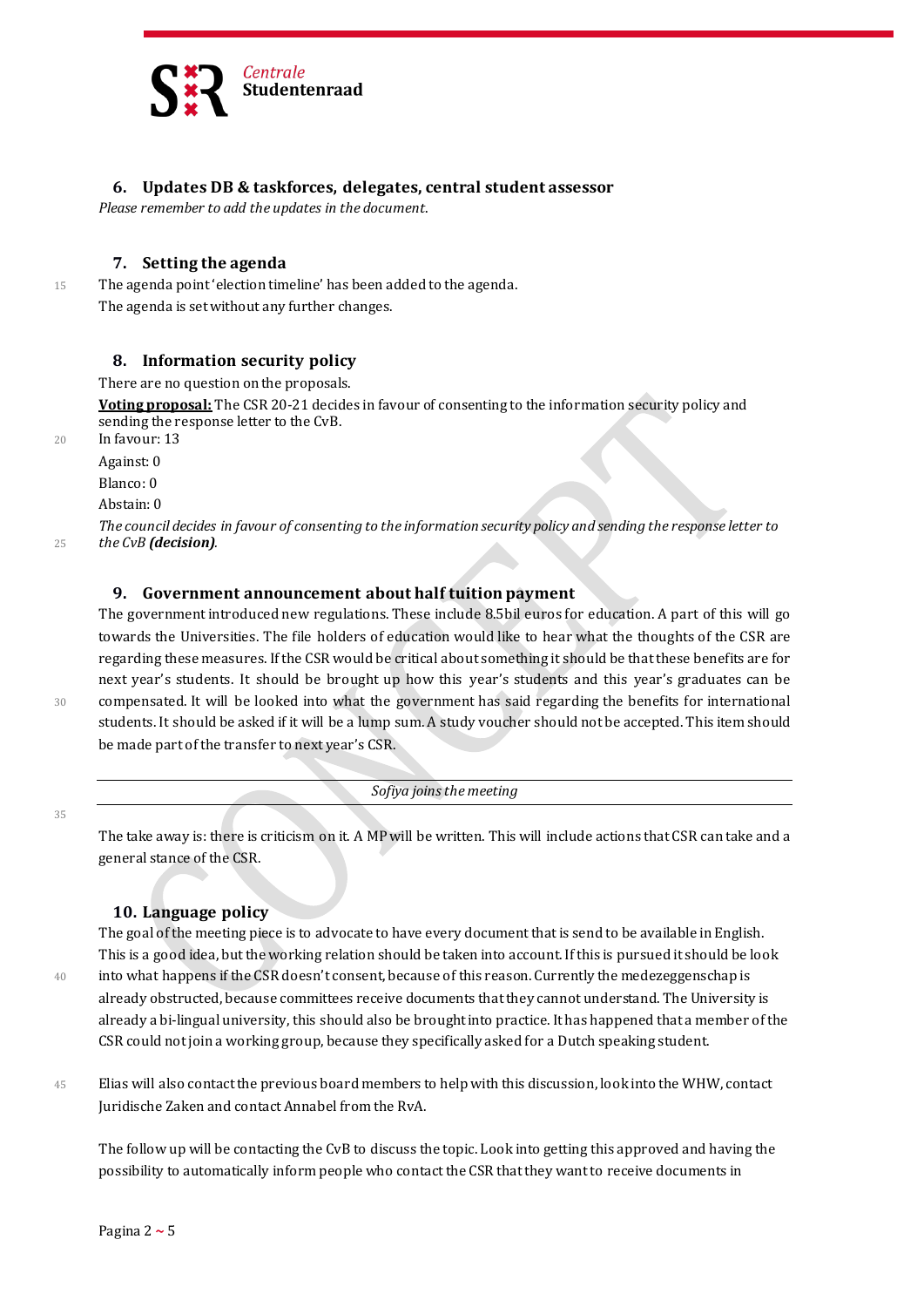

## **6. Updates DB & taskforces, delegates, central student assessor**

*Please remember to add the updates in the document*.

#### **7. Setting the agenda**

15 The agenda point 'election timeline' has been added to the agenda. The agenda is set without any further changes.

#### **8. Information security policy**

There are no question on the proposals.

**Voting proposal:** The CSR 20-21 decides in favour of consenting to the information security policy and sending the response letter to the CvB.

20 In favour: 13

Against: 0

Blanco: 0

Abstain: 0

*The council decides in favour of consenting to the information security policy and sending the response letter to*  <sup>25</sup> *the CvB (decision).*

## **9. Government announcement about half tuition payment**

The government introduced new regulations. These include 8.5bil euros for education. A part of this will go towards the Universities. The file holders of education would like to hear what the thoughts of the CSR are regarding these measures. If the CSR would be critical about something it should be that these benefits are for next year's students. It should be brought up how this year's students and this year's graduates can be 30 compensated. It will be looked into what the government has said regarding the benefits for international students. It should be asked if it will be a lump sum. A study voucher should not be accepted. This item should be made part of the transfer to next year's CSR.

35

*Sofiya joins the meeting*

The take away is: there is criticism on it. A MP will be written. This will include actions that CSR can take and a general stance of the CSR.

## **10. Language policy**

The goal of the meeting piece is to advocate to have every document that is send to be available in English. This is a good idea, but the working relation should be taken into account. If this is pursued it should be look 40 into what happens if the CSR doesn't consent, because of this reason. Currently the medezeggenschap is already obstructed, because committees receive documents that they cannot understand. The University is already a bi-lingual university, this should also be brought into practice. It has happened that a member of the CSR could not join a working group, because they specifically asked for a Dutch speaking student.

45 Elias will also contact the previous board members to help with this discussion, look into the WHW, contact Juridische Zaken and contact Annabel from the RvA.

The follow up will be contacting the CvB to discuss the topic. Look into getting this approved and having the possibility to automatically inform people who contact the CSR that they want to receive documents in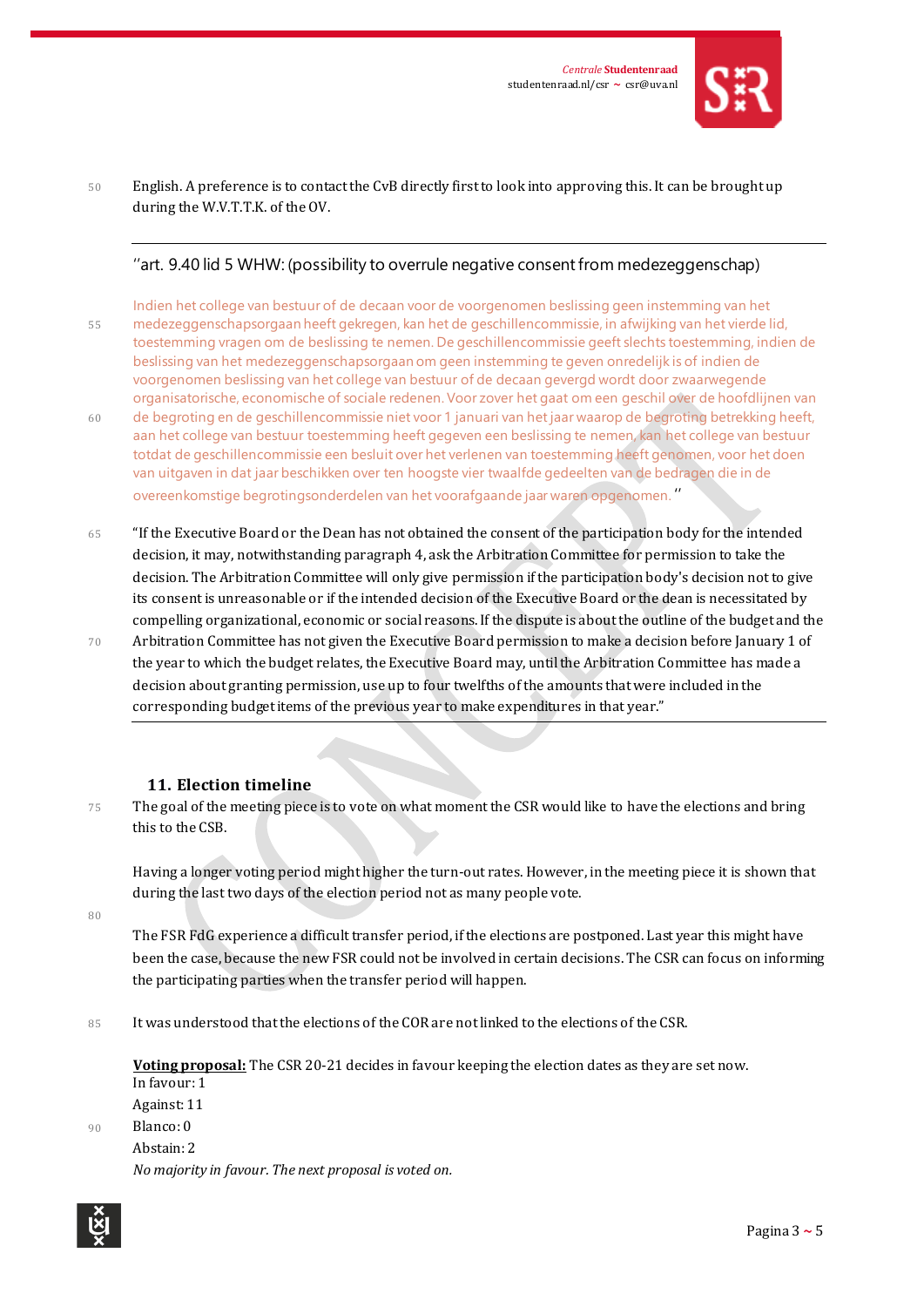

## 50 English. A preference is to contact the CvB directly first to look into approving this. It can be brought up during the W.V.T.T.K. of the OV.

# ''art. 9.40 lid 5 WHW: (possibility to overrule negative consent from medezeggenschap)

Indien het college van bestuur of de decaan voor de voorgenomen beslissing geen instemming van het 55 medezeggenschapsorgaan heeft gekregen, kan het de geschillencommissie, in afwijking van het vierde lid, toestemming vragen om de beslissing te nemen. De geschillencommissie geeft slechts toestemming, indien de beslissing van het medezeggenschapsorgaan om geen instemming te geven onredelijk is of indien de voorgenomen beslissing van het college van bestuur of de decaan gevergd wordt door zwaarwegende organisatorische, economische of sociale redenen. Voor zover het gaat om een geschil over de hoofdlijnen van 60 de begroting en de geschillencommissie niet voor 1 januari van het jaar waarop de begroting betrekking heeft, aan het college van bestuur toestemming heeft gegeven een beslissing te nemen, kan het college van bestuur totdat de geschillencommissie een besluit over het verlenen van toestemming heeft genomen, voor het doen van uitgaven in dat jaar beschikken over ten hoogste vier twaalfde gedeelten van de bedragen die in de overeenkomstige begrotingsonderdelen van het voorafgaande jaar waren opgenomen. ''

- 65 "If the Executive Board or the Dean has not obtained the consent of the participation body for the intended decision, it may, notwithstanding paragraph 4, ask the Arbitration Committee for permission to take the decision. The Arbitration Committee will only give permission if the participation body's decision not to give its consent is unreasonable or if the intended decision of the Executive Board or the dean is necessitated by compelling organizational, economic or social reasons. If the dispute is about the outline of the budget and the
- 70 Arbitration Committee has not given the Executive Board permission to make a decision before January 1 of the year to which the budget relates, the Executive Board may, until the Arbitration Committee has made a decision about granting permission, use up to four twelfths of the amounts that were included in the corresponding budget items of the previous year to make expenditures in that year."

## **11. Election timeline**

75 The goal of the meeting piece is to vote on what moment the CSR would like to have the elections and bring this to the CSB.

Having a longer voting period might higher the turn-out rates. However, in the meeting piece it is shown that during the last two days of the election period not as many people vote.

80

The FSR FdG experience a difficult transfer period, if the elections are postponed. Last year this might have been the case, because the new FSR could not be involved in certain decisions. The CSR can focus on informing the participating parties when the transfer period will happen.

85 It was understood that the elections of the COR are not linked to the elections of the CSR.

**Voting proposal:** The CSR 20-21 decides in favour keeping the election dates as they are set now. In favour: 1 Against: 11

90 Blanco: 0

Abstain: 2 *No majority in favour. The next proposal is voted on.*

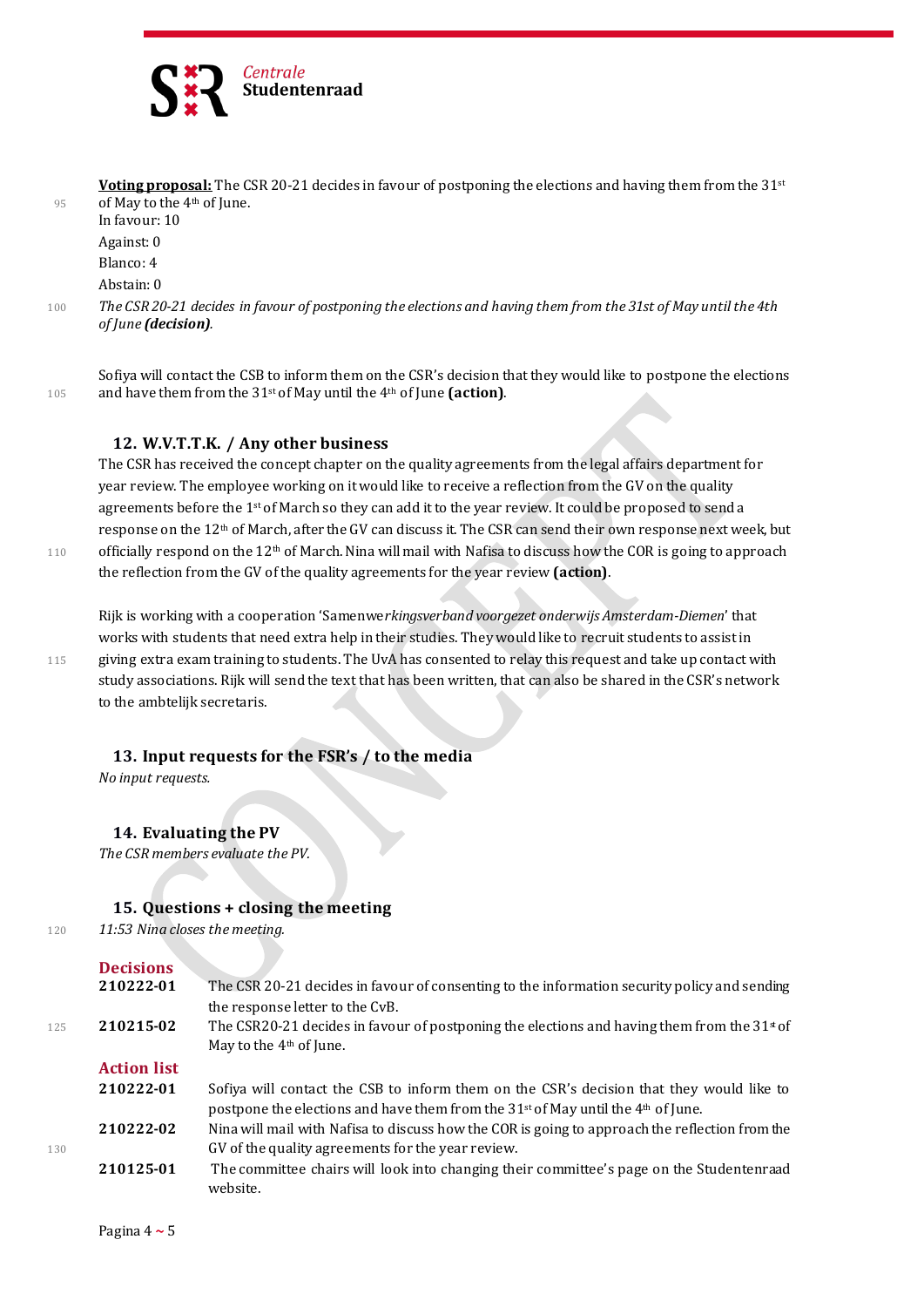

|     | <b>Voting proposal:</b> The CSR 20-21 decides in favour of postponing the elections and having them from the 31 <sup>st</sup>         |
|-----|---------------------------------------------------------------------------------------------------------------------------------------|
| 95  | of May to the $4th$ of June.                                                                                                          |
|     | In favour: 10                                                                                                                         |
|     | Against: 0                                                                                                                            |
|     | Blanco: 4                                                                                                                             |
|     | Abstain: 0                                                                                                                            |
| 100 | The CSR 20-21 decides in favour of postponing the elections and having them from the 31st of May until the 4th<br>of June (decision). |
|     |                                                                                                                                       |

Sofiya will contact the CSB to inform them on the CSR's decision that they would like to postpone the elections <sup>105</sup> and have them from the 31st of May until the 4th of June **(action)**.

#### **12. W.V.T.T.K. / Any other business**

The CSR has received the concept chapter on the quality agreements from the legal affairs department for year review. The employee working on it would like to receive a reflection from the GV on the quality agreements before the  $1<sup>st</sup>$  of March so they can add it to the year review. It could be proposed to send a response on the 12<sup>th</sup> of March, after the GV can discuss it. The CSR can send their own response next week, but 110 officially respond on the  $12<sup>th</sup>$  of March. Nina will mail with Nafisa to discuss how the COR is going to approach the reflection from the GV of the quality agreements for the year review **(action)**.

Rijk is working with a cooperation 'Samenwe*rkingsverband voorgezet onderwijs Amsterdam-Diemen*' that works with students that need extra help in their studies. They would like to recruit students to assist in 115 giving extra exam training to students. The UvA has consented to relay this request and take up contact with study associations. Rijk will send the text that has been written, that can also be shared in the CSR's network to the ambtelijk secretaris.

## **13. Input requests for the FSR's / to the media**

*No input requests.*

#### **14. Evaluating the PV**

*The CSR members evaluate the PV.*

#### **15. Questions + closing the meeting**

<sup>120</sup> *11:53 Nina closes the meeting.*

|  | <b>Decisions</b> |
|--|------------------|
|  |                  |

|     | 210222-01          | The CSR 20-21 decides in favour of consenting to the information security policy and sending   |
|-----|--------------------|------------------------------------------------------------------------------------------------|
|     |                    | the response letter to the CvB.                                                                |
| 125 | 210215-02          | The CSR20-21 decides in favour of postponing the elections and having them from the $31*$ of   |
|     |                    | May to the $4th$ of June.                                                                      |
|     | <b>Action list</b> |                                                                                                |
|     | 210222-01          | Sofiya will contact the CSB to inform them on the CSR's decision that they would like to       |
|     |                    | postpone the elections and have them from the $31st$ of May until the 4 <sup>th</sup> of June. |
|     | 210222-02          | Nina will mail with Nafisa to discuss how the COR is going to approach the reflection from the |
| 130 |                    | GV of the quality agreements for the year review.                                              |
|     | 210125-01          | The committee chairs will look into changing their committee's page on the Studentenraad       |
|     |                    | website.                                                                                       |
|     |                    |                                                                                                |